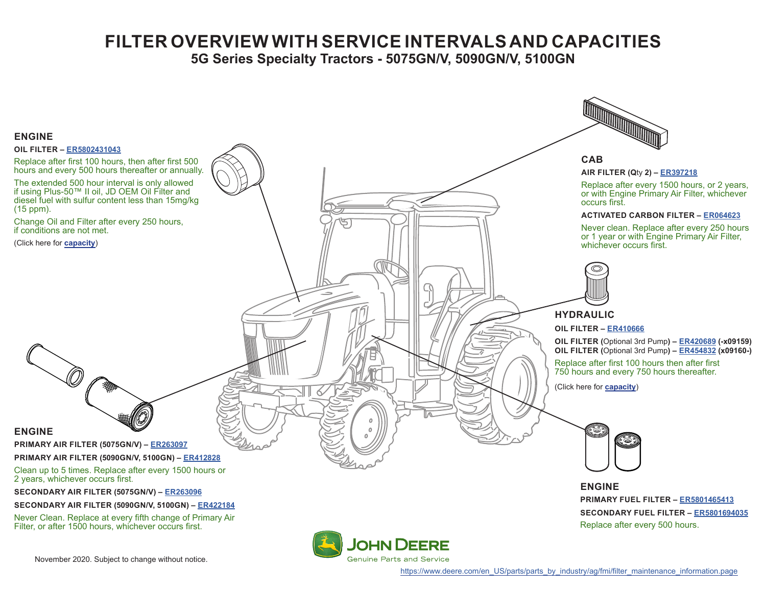## **FILTER OVERVIEW WITH SERVICE INTERVALS AND CAPACITIES**

**5G Series Specialty Tractors - 5075GN/V, 5090GN/V, 5100GN**

<span id="page-0-0"></span>